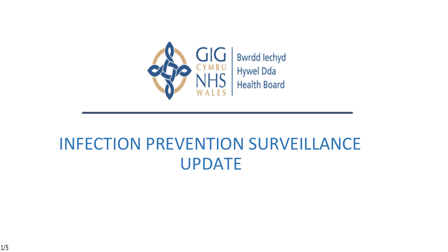

#### INFECTION PREVENTION SURVEILLANCE UPDATE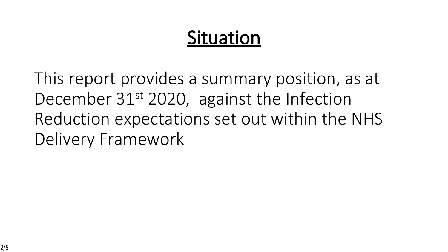# **Situation**

This report provides a summary position, as at December 31<sup>st</sup> 2020, against the Infection Reduction expectations set out within the NHS Delivery Framework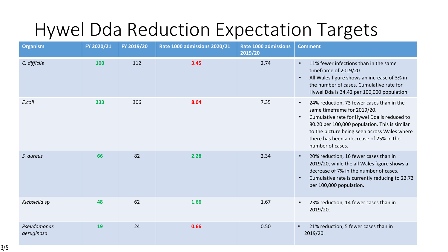## Hywel Dda Reduction Expectation Targets

| <b>Organism</b>           | FY 2020/21 | FY 2019/20 | Rate 1000 admissions 2020/21 | <b>Rate 1000 admissions</b><br>2019/20 | <b>Comment</b>                                                                                                                                                                                                                                                                                                    |
|---------------------------|------------|------------|------------------------------|----------------------------------------|-------------------------------------------------------------------------------------------------------------------------------------------------------------------------------------------------------------------------------------------------------------------------------------------------------------------|
| C. difficile              | 100        | 112        | 3.45                         | 2.74                                   | 11% fewer infections than in the same<br>timeframe of 2019/20<br>All Wales figure shows an increase of 3% in<br>the number of cases. Cumulative rate for<br>Hywel Dda is 34.42 per 100,000 population.                                                                                                            |
| E.coli                    | 233        | 306        | 8.04                         | 7.35                                   | 24% reduction, 73 fewer cases than in the<br>$\bullet$<br>same timeframe for 2019/20.<br>Cumulative rate for Hywel Dda is reduced to<br>$\bullet$<br>80.20 per 100,000 population. This is similar<br>to the picture being seen across Wales where<br>there has been a decrease of 25% in the<br>number of cases. |
| S. aureus                 | 66         | 82         | 2.28                         | 2.34                                   | 20% reduction, 16 fewer cases than in<br>$\bullet$<br>2019/20, while the all Wales figure shows a<br>decrease of 7% in the number of cases.<br>Cumulative rate is currently reducing to 22.72<br>per 100,000 population.                                                                                          |
| Klebsiella sp             | 48         | 62         | 1.66                         | 1.67                                   | 23% reduction, 14 fewer cases than in<br>2019/20.                                                                                                                                                                                                                                                                 |
| Pseudomonas<br>aeruginosa | 19         | 24         | 0.66                         | 0.50                                   | 21% reduction, 5 fewer cases than in<br>$\bullet$<br>2019/20.                                                                                                                                                                                                                                                     |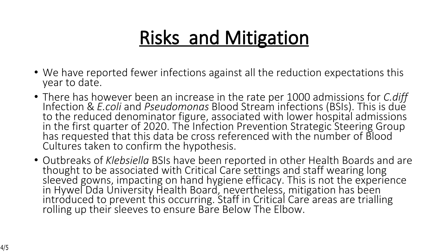# **Risks and Mitigation**

- We have reported fewer infections against all the reduction expectations this year to date.
- There has however been an increase in the rate per 1000 admissions for *C.diff* Infection & *E.coli* and *Pseudomonas* Blood Stream infections (BSIs). This is due to the reduced denominator figure, associated with lower hospital admissions in the first quarter of 2020. The Infection Prevention Strategic Steering Group has requested that this data be cross referenced with the number of Blood Cultures taken to confirm the hypothesis.
- Outbreaks of *Klebsiella* BSIs have been reported in other Health Boards and are thought to be associated with Critical Care settings and staff wearing long sleeved gowns, impacting on hand hygiene efficacy. This is not the experience in Hywel Dda University Health Board, nevertheless, mitigation has been introduced to prevent this occurring. Staff in Critical Care areas are trialling rolling up their sleeves to ensure Bare Below The Elbow.